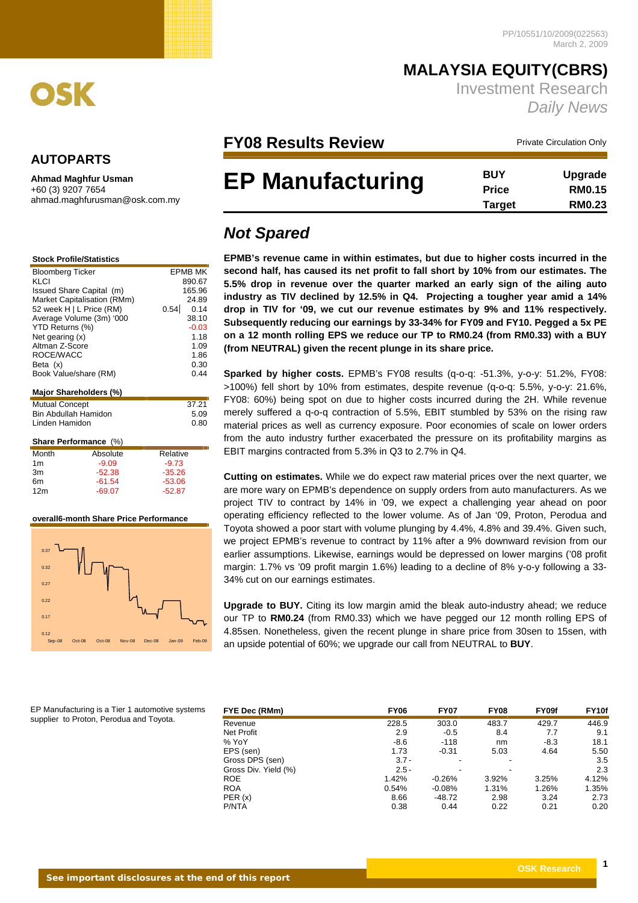*Daily News*

**MALAYSIA EQUITY(CBRS)**

Investment Research

 **Target RM0.23**



## **AUTOPARTS**

**Ahmad Maghfur Usman**  +60 (3) 9207 7654

ahmad.maghfurusman@osk.com.my

|  | <b>Stock Profile/Statistics</b> |  |
|--|---------------------------------|--|
|  |                                 |  |

| <b>Bloomberg Ticker</b><br>EPMB MK |              |
|------------------------------------|--------------|
| KLCI                               | 890.67       |
| Issued Share Capital (m)           | 165.96       |
| Market Capitalisation (RMm)        | 24.89        |
| 52 week H   L Price (RM)           | 0.54<br>0.14 |
| Average Volume (3m) '000           | 38.10        |
| YTD Returns (%)                    | $-0.03$      |
| Net gearing (x)                    | 1.18         |
| Altman Z-Score                     | 1.09         |
| ROCE/WACC                          | 1.86         |
| Beta (x)                           | 0.30         |
| Book Value/share (RM)              | 0.44         |
|                                    |              |
| Major Shareholders (%)             |              |
| <b>Mutual Concept</b>              | 37.21        |
| Bin Abdullah Hamidon               | 5.09         |
| Linden Hamidon                     | 0.80         |

## **Share Performance** (%)

| Absolute | Relative |
|----------|----------|
| $-9.09$  | $-9.73$  |
| $-52.38$ | $-35.26$ |
| $-61.54$ | $-53.06$ |
| $-69.07$ | $-52.87$ |
|          |          |

### **overall6-month Share Price Performance**



**FY08 Results Review Manufacture Conculation Only** Private Circulation Only

## **BUY Upgrade Price RM0.15 EP Manufacturing**

# *Not Spared*

**EPMB's revenue came in within estimates, but due to higher costs incurred in the second half, has caused its net profit to fall short by 10% from our estimates. The 5.5% drop in revenue over the quarter marked an early sign of the ailing auto industry as TIV declined by 12.5% in Q4. Projecting a tougher year amid a 14% drop in TIV for '09, we cut our revenue estimates by 9% and 11% respectively. Subsequently reducing our earnings by 33-34% for FY09 and FY10. Pegged a 5x PE on a 12 month rolling EPS we reduce our TP to RM0.24 (from RM0.33) with a BUY (from NEUTRAL) given the recent plunge in its share price.** 

**Sparked by higher costs.** EPMB's FY08 results (q-o-q: -51.3%, y-o-y: 51.2%, FY08: >100%) fell short by 10% from estimates, despite revenue (q-o-q: 5.5%, y-o-y: 21.6%, FY08: 60%) being spot on due to higher costs incurred during the 2H. While revenue merely suffered a q-o-q contraction of 5.5%, EBIT stumbled by 53% on the rising raw material prices as well as currency exposure. Poor economies of scale on lower orders from the auto industry further exacerbated the pressure on its profitability margins as EBIT margins contracted from 5.3% in Q3 to 2.7% in Q4.

**Cutting on estimates.** While we do expect raw material prices over the next quarter, we are more wary on EPMB's dependence on supply orders from auto manufacturers. As we project TIV to contract by 14% in '09, we expect a challenging year ahead on poor operating efficiency reflected to the lower volume. As of Jan '09, Proton, Perodua and Toyota showed a poor start with volume plunging by 4.4%, 4.8% and 39.4%. Given such, we project EPMB's revenue to contract by 11% after a 9% downward revision from our earlier assumptions. Likewise, earnings would be depressed on lower margins ('08 profit margin: 1.7% vs '09 profit margin 1.6%) leading to a decline of 8% y-o-y following a 33- 34% cut on our earnings estimates.

**Upgrade to BUY.** Citing its low margin amid the bleak auto-industry ahead; we reduce our TP to **RM0.24** (from RM0.33) which we have pegged our 12 month rolling EPS of 4.85sen. Nonetheless, given the recent plunge in share price from 30sen to 15sen, with an upside potential of 60%; we upgrade our call from NEUTRAL to **BUY**.

| EP Manufacturing is a Tier 1 automotive systems |  |
|-------------------------------------------------|--|
| supplier to Proton, Perodua and Toyota.         |  |

| FYE Dec (RMm)        | <b>FY06</b> | <b>FY07</b> | <b>FY08</b>              | FY09f  | FY <sub>10f</sub> |
|----------------------|-------------|-------------|--------------------------|--------|-------------------|
| Revenue              | 228.5       | 303.0       | 483.7                    | 429.7  | 446.9             |
| Net Profit           | 2.9         | $-0.5$      | 8.4                      | 7.7    | 9.1               |
| % YoY                | -8.6        | $-118$      | nm                       | $-8.3$ | 18.1              |
| EPS (sen)            | 1.73        | $-0.31$     | 5.03                     | 4.64   | 5.50              |
| Gross DPS (sen)      | $3.7 -$     |             |                          |        | 3.5               |
| Gross Div. Yield (%) | $2.5 -$     |             | $\overline{\phantom{a}}$ |        | 2.3               |
| <b>ROE</b>           | 1.42%       | $-0.26%$    | 3.92%                    | 3.25%  | 4.12%             |
| <b>ROA</b>           | 0.54%       | $-0.08%$    | 1.31%                    | 1.26%  | 1.35%             |
| PER(x)               | 8.66        | -48.72      | 2.98                     | 3.24   | 2.73              |
| P/NTA                | 0.38        | 0.44        | 0.22                     | 0.21   | 0.20              |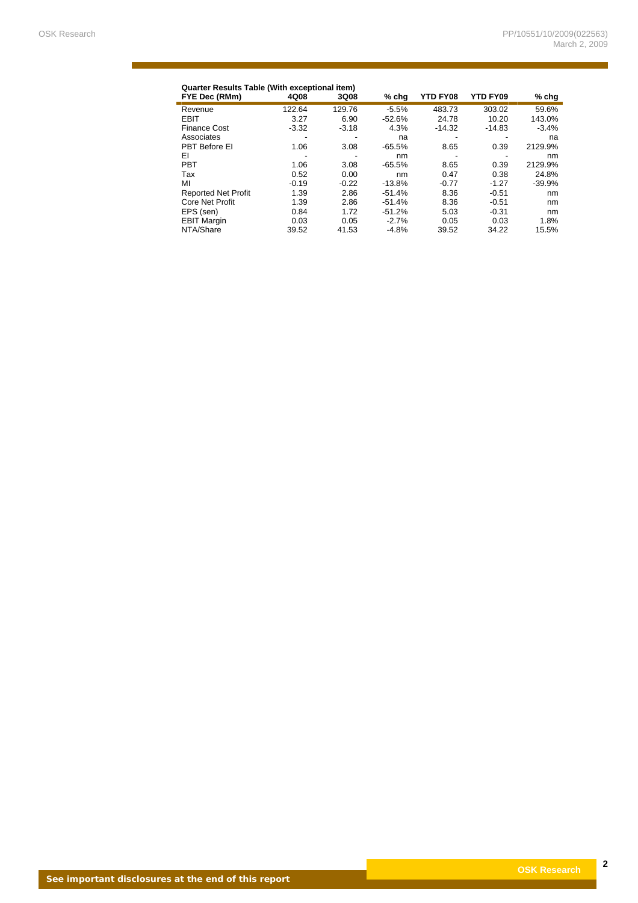$\mathcal{L}(\mathcal{L}^{\text{max}}_{\mathcal{L}})$ 

| <b>Quarter Results Table (With exceptional item)</b><br>YTD FY08<br>FYE Dec (RMm)<br>4Q08<br><b>YTD FY09</b><br>3Q08<br>$%$ chg |                          |         |          |          |          | $%$ chg  |
|---------------------------------------------------------------------------------------------------------------------------------|--------------------------|---------|----------|----------|----------|----------|
| Revenue                                                                                                                         | 122.64                   | 129.76  | $-5.5%$  | 483.73   | 303.02   | 59.6%    |
| <b>EBIT</b>                                                                                                                     | 3.27                     | 6.90    | $-52.6%$ | 24.78    | 10.20    | 143.0%   |
| <b>Finance Cost</b>                                                                                                             | $-3.32$                  | $-3.18$ | 4.3%     | $-14.32$ | $-14.83$ | $-3.4%$  |
| Associates                                                                                                                      |                          |         | na       |          |          | na       |
| PBT Before EI                                                                                                                   | 1.06                     | 3.08    | $-65.5%$ | 8.65     | 0.39     | 2129.9%  |
| ΕI                                                                                                                              | $\overline{\phantom{a}}$ | -       | nm       | -        |          | nm       |
| <b>PBT</b>                                                                                                                      | 1.06                     | 3.08    | $-65.5%$ | 8.65     | 0.39     | 2129.9%  |
| Tax                                                                                                                             | 0.52                     | 0.00    | nm       | 0.47     | 0.38     | 24.8%    |
| ΜI                                                                                                                              | $-0.19$                  | $-0.22$ | $-13.8%$ | $-0.77$  | $-1.27$  | $-39.9%$ |
| <b>Reported Net Profit</b>                                                                                                      | 1.39                     | 2.86    | $-51.4%$ | 8.36     | $-0.51$  | nm       |
| <b>Core Net Profit</b>                                                                                                          | 1.39                     | 2.86    | $-51.4%$ | 8.36     | $-0.51$  | nm       |
| EPS (sen)                                                                                                                       | 0.84                     | 1.72    | $-51.2%$ | 5.03     | $-0.31$  | nm       |
| <b>EBIT Margin</b>                                                                                                              | 0.03                     | 0.05    | $-2.7%$  | 0.05     | 0.03     | 1.8%     |
| NTA/Share                                                                                                                       | 39.52                    | 41.53   | $-4.8%$  | 39.52    | 34.22    | 15.5%    |